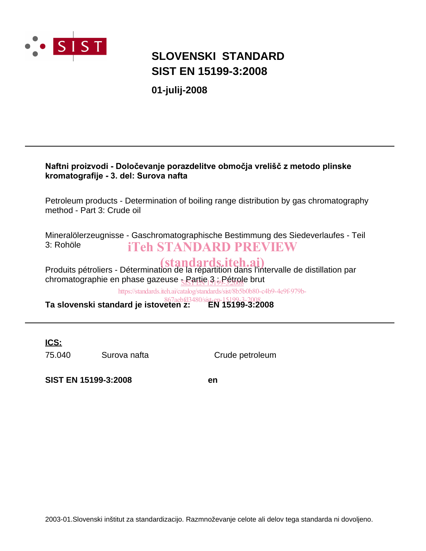

# **SIST EN 15199-3:2008 SLOVENSKI STANDARD**

**01-julij-2008**

# Naftni proizvodi - Določevanje porazdelitve območja vrelišč z metodo plinske kromatografije - 3. del: Surova nafta

Petroleum products - Determination of boiling range distribution by gas chromatography method - Part 3: Crude oil

Mineralölerzeugnisse - Gaschromatographische Bestimmung des Siedeverlaufes - Teil 3: Rohöle iTeh STANDARD PREVIEW

(standards.iteh.ai)<br>Produits pétroliers - Détermination de la répartition dans l'intervalle de distillation par chromatographie en phase gazeuse <sub>Si</sub>Rartie 3.5Pétrole brut

https://standards.iteh.ai/catalog/standards/sist/8b5b0b80-c4b9-4e9f-979b-

**Ta slovenski standard je istoveten z: EN 15199-3:2008** 867aebfd3480/sist-en-15199-3-2008

**ICS:**

75.040 Surova nafta Crude petroleum

**SIST EN 15199-3:2008 en**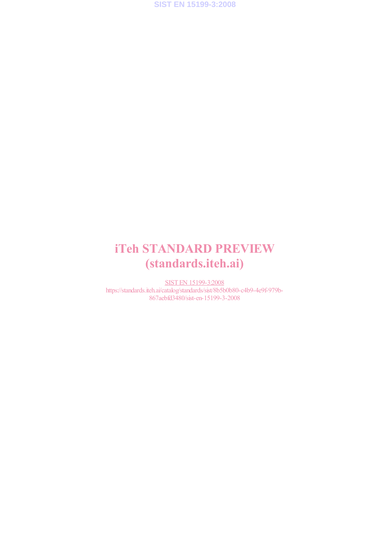# iTeh STANDARD PREVIEW (standards.iteh.ai)

SIST EN 15199-3:2008 https://standards.iteh.ai/catalog/standards/sist/8b5b0b80-c4b9-4e9f-979b-867aebfd3480/sist-en-15199-3-2008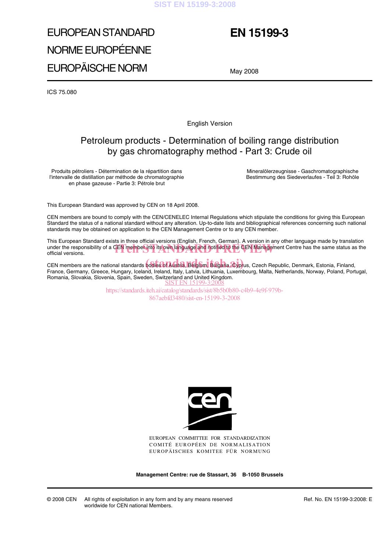#### **SIST EN 15199-3:2008**

# EUROPEAN STANDARD NORME EUROPÉENNE EUROPÄISCHE NORM

# **EN 15199-3**

May 2008

ICS 75.080

English Version

# Petroleum products - Determination of boiling range distribution by gas chromatography method - Part 3: Crude oil

Produits pétroliers - Détermination de la répartition dans l'intervalle de distillation par méthode de chromatographie en phase gazeuse - Partie 3: Pétrole brut

Mineralölerzeugnisse - Gaschromatographische Bestimmung des Siedeverlaufes - Teil 3: Rohöle

This European Standard was approved by CEN on 18 April 2008.

CEN members are bound to comply with the CEN/CENELEC Internal Regulations which stipulate the conditions for giving this European Standard the status of a national standard without any alteration. Up-to-date lists and bibliographical references concerning such national standards may be obtained on application to the CEN Management Centre or to any CEN member.

This European Standard exists in three official versions (English, French, German). A version in any other language made by translation This European bandard exists in ance embatt versions (English, French, Semilar). A version in any other larguage made by nanolation<br>under the responsibility of a GEN member into its own language and notified to the GEN Man official versions.

CEN members are the national standards **bodies of Austria, Belgium, Bulgaria, Cy**prus, Czech Republic, Denmark, Estonia, Finland, France, Germany, Greece, Hungary, Iceland, Ireland, Italy, Latvia, Lithuania, Luxembourg, Malta, Netherlands, Norway, Poland, Portugal, Romania, Slovakia, Slovenia, Spain, Sweden, Switzerland and United Kingdom.<br>SIST EN 15199-3:2008

> https://standards.iteh.ai/catalog/standards/sist/8b5b0b80-c4b9-4e9f-979b-867aebfd3480/sist-en-15199-3-2008



EUROPEAN COMMITTEE FOR STANDARDIZATION COMITÉ EUROPÉEN DE NORMALISATION EUROPÄISCHES KOMITEE FÜR NORMUNG

**Management Centre: rue de Stassart, 36 B-1050 Brussels**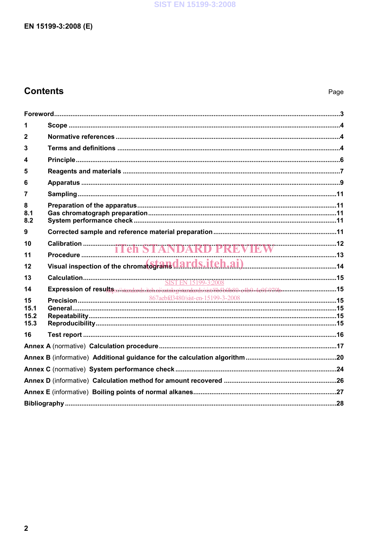# **Contents**

| 1            |                                                                                                                                                                                                                                |  |  |  |
|--------------|--------------------------------------------------------------------------------------------------------------------------------------------------------------------------------------------------------------------------------|--|--|--|
| $\mathbf{2}$ |                                                                                                                                                                                                                                |  |  |  |
| 3            |                                                                                                                                                                                                                                |  |  |  |
| 4            |                                                                                                                                                                                                                                |  |  |  |
| 5            |                                                                                                                                                                                                                                |  |  |  |
| 6            |                                                                                                                                                                                                                                |  |  |  |
| 7            |                                                                                                                                                                                                                                |  |  |  |
| 8            |                                                                                                                                                                                                                                |  |  |  |
| 8.1<br>8.2   |                                                                                                                                                                                                                                |  |  |  |
|              |                                                                                                                                                                                                                                |  |  |  |
| 9            |                                                                                                                                                                                                                                |  |  |  |
| 10           |                                                                                                                                                                                                                                |  |  |  |
| 11           |                                                                                                                                                                                                                                |  |  |  |
| 12           | Visual inspection of the chromatograms dards.itch.ai) Maximum Musulman 14                                                                                                                                                      |  |  |  |
| 13           |                                                                                                                                                                                                                                |  |  |  |
| 14           | Expression of results whendown it the night development of the control of the control of the control of the control of the control of the control of the control of the control of the control of the control of the control o |  |  |  |
| 15           |                                                                                                                                                                                                                                |  |  |  |
| 15.1<br>15.2 |                                                                                                                                                                                                                                |  |  |  |
| 15.3         |                                                                                                                                                                                                                                |  |  |  |
| 16           |                                                                                                                                                                                                                                |  |  |  |
|              |                                                                                                                                                                                                                                |  |  |  |
|              |                                                                                                                                                                                                                                |  |  |  |
|              |                                                                                                                                                                                                                                |  |  |  |
|              |                                                                                                                                                                                                                                |  |  |  |
|              |                                                                                                                                                                                                                                |  |  |  |
|              |                                                                                                                                                                                                                                |  |  |  |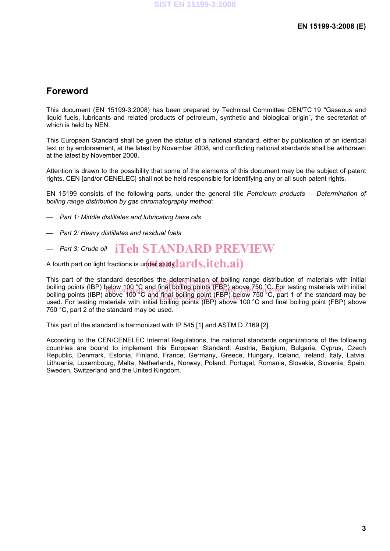# **Foreword**

This document (EN 15199-3:2008) has been prepared by Technical Committee CEN/TC 19 "Gaseous and liquid fuels, lubricants and related products of petroleum, synthetic and biological origin", the secretariat of which is held by NEN.

This European Standard shall be given the status of a national standard, either by publication of an identical text or by endorsement, at the latest by November 2008, and conflicting national standards shall be withdrawn at the latest by November 2008.

Attention is drawn to the possibility that some of the elements of this document may be the subject of patent rights. CEN [and/or CENELEC] shall not be held responsible for identifying any or all such patent rights.

EN 15199 consists of the following parts, under the general title *Petroleum products — Determination of boiling range distribution by gas chromatography method*:

- *Part 1: Middle distillates and lubricating base oils*
- *Part 2: Heavy distillates and residual fuels*
- $P$  *Part 3: Crude oil*  $iTeh$   $STANDARD$   $PREV$   $EW$

A fourth part on light fractions is un**der study.**  $\bm{ards.}$ **ite** $\bm{{\sf h.ai}})$ 

This part of the standard describes the determination of boiling range distribution of materials with initial  $\frac{1}{2}$ boiling points (IBP) below 100 °C and final boiling points (FBP) above 750 °C. For testing materials with initial<br>heiling points (IBB) https://standards.iteh.ai/catalogs.iteh.ai/species/269/96264.1. of the standard mov be boiling points (IBP) above 100 °C and final boiling point (FBP) below 750 °C, part 1 of the standard may be boiling points (IBF) above 100 °C and line boiling point (GBF) (BBC) 730 °C, part 1 of the standard hiay be<br>used. For testing materials with initial boiling points (IBP) above 100 °C and final boiling point (FBP) above 750 °C, part 2 of the standard may be used.

This part of the standard is harmonized with IP 545 [1] and ASTM D 7169 [2].

According to the CEN/CENELEC Internal Regulations, the national standards organizations of the following countries are bound to implement this European Standard: Austria, Belgium, Bulgaria, Cyprus, Czech Republic, Denmark, Estonia, Finland, France, Germany, Greece, Hungary, Iceland, Ireland, Italy, Latvia, Lithuania, Luxembourg, Malta, Netherlands, Norway, Poland, Portugal, Romania, Slovakia, Slovenia, Spain, Sweden, Switzerland and the United Kingdom.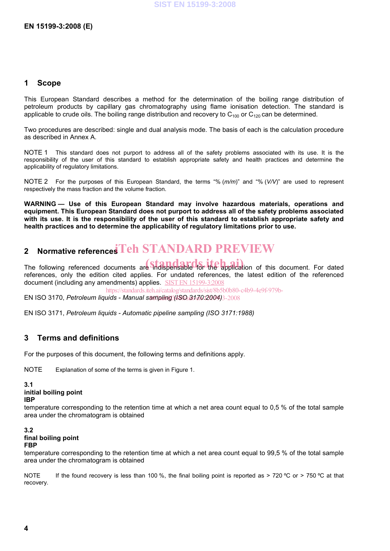### **1 Scope**

This European Standard describes a method for the determination of the boiling range distribution of petroleum products by capillary gas chromatography using flame ionisation detection. The standard is applicable to crude oils. The boiling range distribution and recovery to  $C_{100}$  or  $C_{120}$  can be determined.

Two procedures are described: single and dual analysis mode. The basis of each is the calculation procedure as described in Annex A.

NOTE 1 This standard does not purport to address all of the safety problems associated with its use. It is the responsibility of the user of this standard to establish appropriate safety and health practices and determine the applicability of regulatory limitations.

NOTE 2 For the purposes of this European Standard, the terms "% (*m/m*)" and "% (*V/V*)" are used to represent respectively the mass fraction and the volume fraction.

**WARNING — Use of this European Standard may involve hazardous materials, operations and equipment. This European Standard does not purport to address all of the safety problems associated with its use. It is the responsibility of the user of this standard to establish appropriate safety and health practices and to determine the applicability of regulatory limitations prior to use.** 

# 2 Normative references<sup>Teh</sup> STANDARD PREVIEW

The following referenced documents are indispensable for the application of this document. For dated references, only the edition cited applies. For undated references, the latest edition of the referenced document (including any amendments) applies. SIST EN 15199-3:2008

EN ISO 3170, *Petroleum liquids - Manual sampling*3(ISO 3170:2004)3-2008 https://standards.iteh.ai/catalog/standards/sist/8b5b0b80-c4b9-4e9f-979b-

EN ISO 3171, *Petroleum liquids - Automatic pipeline sampling (ISO 3171:1988)*

## **3 Terms and definitions**

For the purposes of this document, the following terms and definitions apply.

NOTE Explanation of some of the terms is given in Figure 1.

# **3.1**

#### **initial boiling point IBP**

temperature corresponding to the retention time at which a net area count equal to 0,5 % of the total sample area under the chromatogram is obtained

#### **3.2 final boiling point FBP**

temperature corresponding to the retention time at which a net area count equal to 99,5 % of the total sample area under the chromatogram is obtained

NOTE If the found recovery is less than 100 %, the final boiling point is reported as > 720 °C or > 750 °C at that recovery.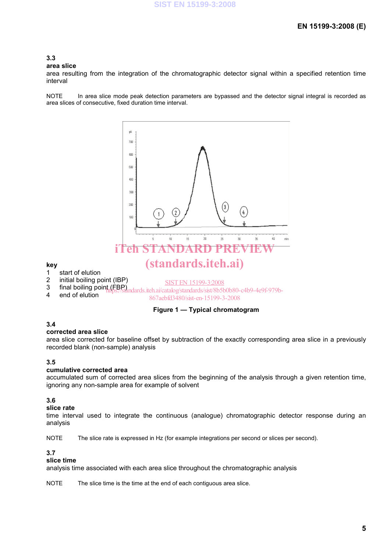### **3.3**

#### **area slice**

area resulting from the integration of the chromatographic detector signal within a specified retention time interval

NOTE In area slice mode peak detection parameters are bypassed and the detector signal integral is recorded as area slices of consecutive, fixed duration time interval.



#### **key**

- 1 start of elution
- 2 initial boiling point (IBP)
- SIST EN 15199-3:2008
- 3 final boiling point (FBP)<br>4 and of sluting boiling S//standards.iteh.ai/catalog/standards/sist/8b5b0b80-c4b9-4e9f-979b-4 end of elution
	- 867aebfd3480/sist-en-15199-3-2008

#### **Figure 1 — Typical chromatogram**

#### **3.4**

#### **corrected area slice**

area slice corrected for baseline offset by subtraction of the exactly corresponding area slice in a previously recorded blank (non-sample) analysis

#### **3.5**

#### **cumulative corrected area**

accumulated sum of corrected area slices from the beginning of the analysis through a given retention time, ignoring any non-sample area for example of solvent

### **3.6**

#### **slice rate**

time interval used to integrate the continuous (analogue) chromatographic detector response during an analysis

NOTE The slice rate is expressed in Hz (for example integrations per second or slices per second).

#### **3.7**

#### **slice time**

analysis time associated with each area slice throughout the chromatographic analysis

NOTE The slice time is the time at the end of each contiguous area slice.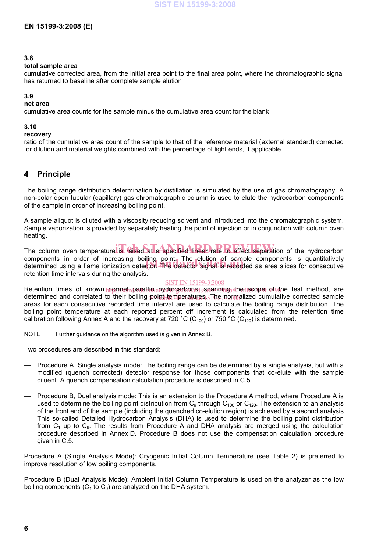#### **3.8**

#### **total sample area**

cumulative corrected area, from the initial area point to the final area point, where the chromatographic signal has returned to baseline after complete sample elution

#### **3.9**

### **net area**

cumulative area counts for the sample minus the cumulative area count for the blank

#### **3.10**

**recovery** 

ratio of the cumulative area count of the sample to that of the reference material (external standard) corrected for dilution and material weights combined with the percentage of light ends, if applicable

## **4 Principle**

The boiling range distribution determination by distillation is simulated by the use of gas chromatography. A non-polar open tubular (capillary) gas chromatographic column is used to elute the hydrocarbon components of the sample in order of increasing boiling point.

A sample aliquot is diluted with a viscosity reducing solvent and introduced into the chromatographic system. Sample vaporization is provided by separately heating the point of injection or in conjunction with column oven heating.

The column oven temperature is raised at a specified linear rate to affect separation of the hydrocarbon components in order of increasing boiling point. The elution of sample components is quantitatively components in order of increasing boiling point. The elution of sample components is quantitatively<br>determined using a flame ionization detector. The detector signal is recorded as area slices for consecutive retention time intervals during the analysis.

#### SIST EN 15199-3:2008

Retention times of known mormal paraffin hydrocarbons, spanning the scope of the test method, are determined and correlated to their boiling point temperatures The normalized cumulative corrected sample areas for each consecutive recorded time interval are used to calculate the boiling range distribution. The boiling point temperature at each reported percent off increment is calculated from the retention time calibration following Annex A and the recovery at 720 °C ( $C_{100}$ ) or 750 °C ( $C_{120}$ ) is determined.

NOTE Further guidance on the algorithm used is given in Annex B.

Two procedures are described in this standard:

- Procedure A, Single analysis mode: The boiling range can be determined by a single analysis, but with a modified (quench corrected) detector response for those components that co-elute with the sample diluent. A quench compensation calculation procedure is described in C.5
- Procedure B, Dual analysis mode: This is an extension to the Procedure A method, where Procedure A is used to determine the boiling point distribution from  $C_9$  through  $C_{100}$  or  $C_{120}$ . The extension to an analysis of the front end of the sample (including the quenched co-elution region) is achieved by a second analysis. This so-called Detailed Hydrocarbon Analysis (DHA) is used to determine the boiling point distribution from  $C_1$  up to  $C_9$ . The results from Procedure A and DHA analysis are merged using the calculation procedure described in Annex D. Procedure B does not use the compensation calculation procedure given in C.5.

Procedure A (Single Analysis Mode): Cryogenic Initial Column Temperature (see Table 2) is preferred to improve resolution of low boiling components.

Procedure B (Dual Analysis Mode): Ambient Initial Column Temperature is used on the analyzer as the low boiling components  $(C_1$  to  $C_9$ ) are analyzed on the DHA system.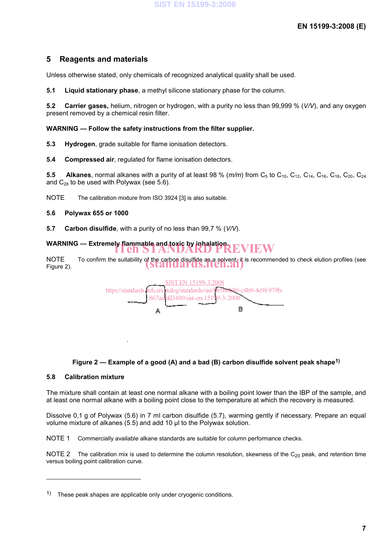## **5 Reagents and materials**

Unless otherwise stated, only chemicals of recognized analytical quality shall be used.

**5.1 Liquid stationary phase**, a methyl silicone stationary phase for the column.

**5.2 Carrier gases,** helium, nitrogen or hydrogen, with a purity no less than 99,999 % (*V/V*), and any oxygen present removed by a chemical resin filter.

#### **WARNING — Follow the safety instructions from the filter supplier.**

- **5.3 Hydrogen**, grade suitable for flame ionisation detectors.
- **5.4 Compressed air**, regulated for flame ionisation detectors.

**5.5 Alkanes**, normal alkanes with a purity of at least 98 % ( $m/m$ ) from C<sub>5</sub> to C<sub>10</sub>, C<sub>12</sub>, C<sub>14</sub>, C<sub>16</sub>, C<sub>18</sub>, C<sub>20</sub>, C<sub>24</sub> and  $C_{28}$  to be used with Polywax (see 5.6).

NOTE The calibration mixture from ISO 3924 [3] is also suitable.

#### **5.6 Polywax 655 or 1000**

**5.7 Carbon disulfide**, with a purity of no less than 99,7 % (*V/V*).

# WARNING — Extremely flammable and toxic by inhalation.<br> **iTeh STANDARD PREVIEW**

NOTE To confirm the suitability of the carbon disulfide as a solvent, it is recommended to check elution profiles (see Figure 2). Figure 2).



### **Figure 2 — Example of a good (A) and a bad (B) carbon disulfide solvent peak shape1)**

#### **5.8 Calibration mixture**

l

The mixture shall contain at least one normal alkane with a boiling point lower than the IBP of the sample, and at least one normal alkane with a boiling point close to the temperature at which the recovery is measured.

Dissolve 0,1 g of Polywax (5.6) in 7 ml carbon disulfide (5.7), warming gently if necessary. Prepare an equal volume mixture of alkanes (5.5) and add 10 µl to the Polywax solution.

NOTE 1 Commercially available alkane standards are suitable for column performance checks.

NOTE 2 The calibration mix is used to determine the column resolution, skewness of the  $C_{20}$  peak, and retention time versus boiling point calibration curve.

<sup>&</sup>lt;sup>1)</sup> These peak shapes are applicable only under cryogenic conditions.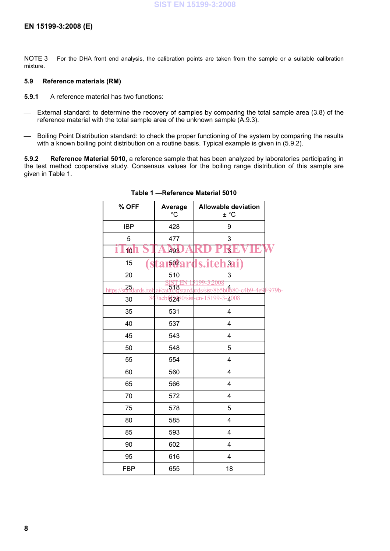### **EN 15199-3:2008 (E)**

NOTE 3 For the DHA front end analysis, the calibration points are taken from the sample or a suitable calibration mixture.

#### **5.9 Reference materials (RM)**

- **5.9.1** A reference material has two functions:
- External standard: to determine the recovery of samples by comparing the total sample area (3.8) of the reference material with the total sample area of the unknown sample (A.9.3).
- Boiling Point Distribution standard: to check the proper functioning of the system by comparing the results with a known boiling point distribution on a routine basis. Typical example is given in (5.9.2).

**5.9.2 Reference Material 5010,** a reference sample that has been analyzed by laboratories participating in the test method cooperative study. Consensus values for the boiling range distribution of this sample are given in Table 1.

| % OFF                            | Average<br>$^{\circ}{\rm C}$ | <b>Allowable deviation</b><br>$\pm$ °C |  |
|----------------------------------|------------------------------|----------------------------------------|--|
| <b>IBP</b>                       | 428                          | 9                                      |  |
| 5                                | 477                          | 3                                      |  |
| <b>fol</b>                       | 493                          |                                        |  |
| 15                               | 5022                         | s.ite<br>32                            |  |
| 20                               | 510                          | 3                                      |  |
| 25<br>Fandards.iteh<br>https://s | $\frac{518}{218}$            | ds/sist/8b5b0b80-c4b9-4e9f-979b-       |  |
| 30                               |                              | 867aebf32480/sist-en-15199-3-2008      |  |
| 35                               | 531                          | 4                                      |  |
| 40                               | 537                          | 4                                      |  |
| 45                               | 543                          | 4                                      |  |
| 50                               | 548                          | 5                                      |  |
| 55                               | 554                          | 4                                      |  |
| 60                               | 560                          | 4                                      |  |
| 65                               | 566                          | 4                                      |  |
| 70                               | 572                          | 4                                      |  |
| 75                               | 578                          | 5                                      |  |
| 80                               | 585                          | 4                                      |  |
| 85                               | 593                          | 4                                      |  |
| 90                               | 602                          | 4                                      |  |
| 95                               | 616                          | 4                                      |  |
| <b>FBP</b>                       | 655                          | 18                                     |  |

#### **Table 1 —Reference Material 5010**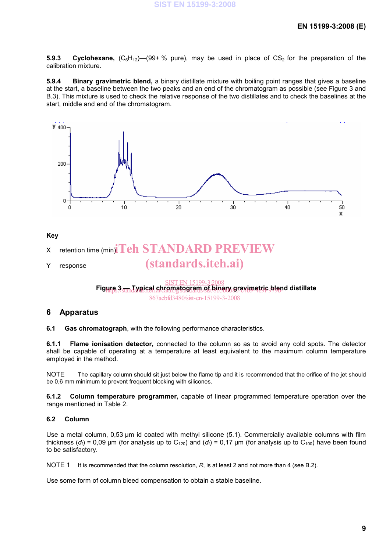**5.9.3 Cyclohexane,**  $(C_6H_{12})$ —(99+ % pure), may be used in place of CS<sub>2</sub> for the preparation of the calibration mixture.

**5.9.4 Binary gravimetric blend,** a binary distillate mixture with boiling point ranges that gives a baseline at the start, a baseline between the two peaks and an end of the chromatogram as possible (see Figure 3 and B.3). This mixture is used to check the relative response of the two distillates and to check the baselines at the start, middle and end of the chromatogram.



#### **Key**

# $\times$  retention time (min) ${\bf Theo}$   ${\bf Theo}$   ${\bf Theo}$   ${\bf F}$

Y response

#### Figure 3<sub>standa</sub>rds.al chromatogram of binary gravimetric blend distillate SIST EN 15199-3:2008

867aebfd3480/sist-en-15199-3-2008

(standards.iteh.ai)

## **6 Apparatus**

**6.1 Gas chromatograph**, with the following performance characteristics.

**6.1.1 Flame ionisation detector,** connected to the column so as to avoid any cold spots. The detector shall be capable of operating at a temperature at least equivalent to the maximum column temperature employed in the method.

NOTE The capillary column should sit just below the flame tip and it is recommended that the orifice of the jet should be 0,6 mm minimum to prevent frequent blocking with silicones.

**6.1.2 Column temperature programmer,** capable of linear programmed temperature operation over the range mentioned in Table 2.

### **6.2 Column**

Use a metal column, 0,53 µm id coated with methyl silicone (5.1). Commercially available columns with film thickness ( $d_f$ ) = 0,09 µm (for analysis up to C<sub>120</sub>) and ( $d_f$ ) = 0,17 µm (for analysis up to C<sub>100</sub>) have been found to be satisfactory.

NOTE 1 It is recommended that the column resolution, *R*, is at least 2 and not more than 4 (see B.2).

Use some form of column bleed compensation to obtain a stable baseline.